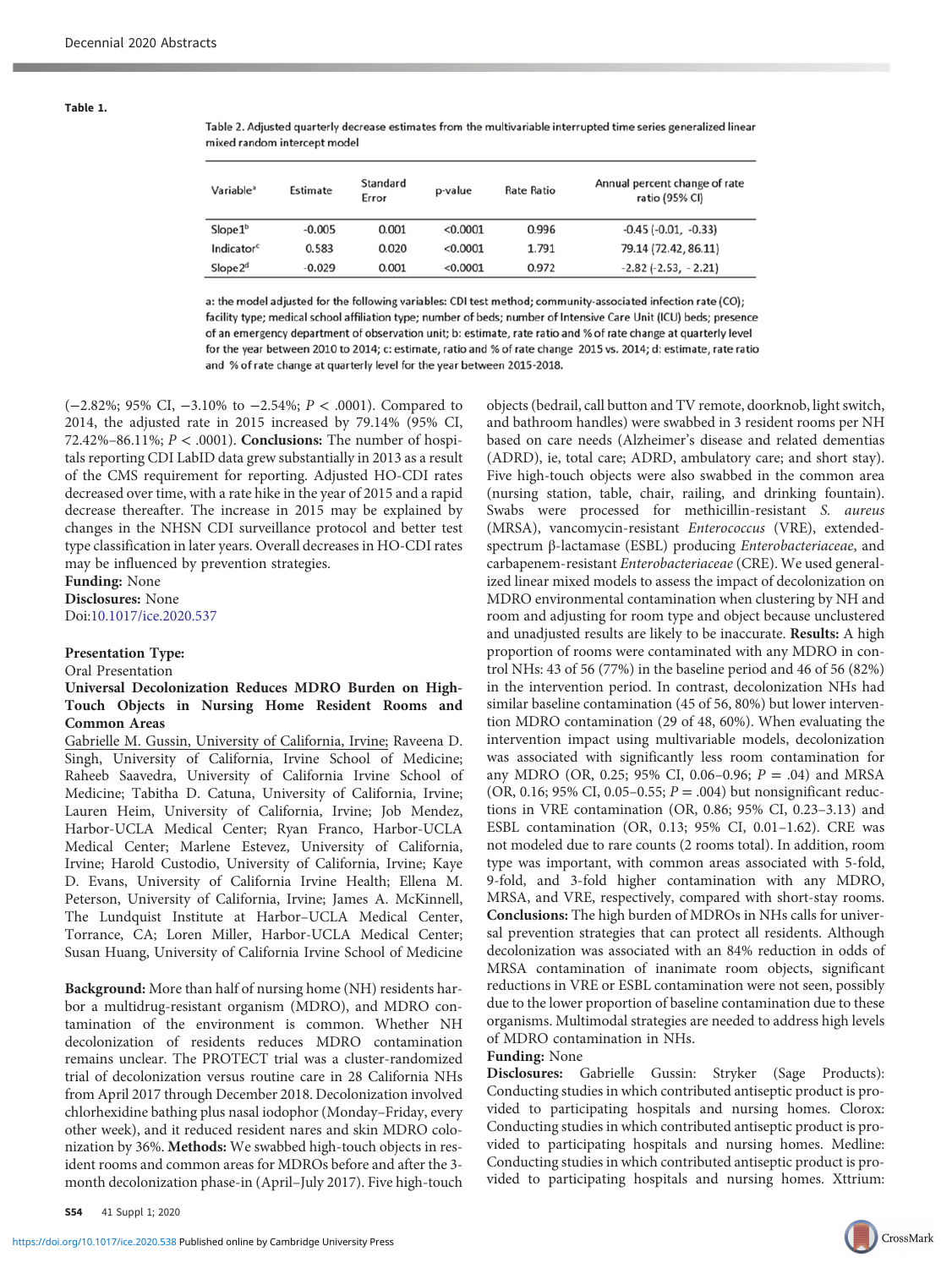Table 1.

Table 2. Adjusted quarterly decrease estimates from the multivariable interrupted time series generalized linear mixed random intercept model

| Variable <sup>a</sup>  | Estimate | Standard<br>Error | p-value  | <b>Rate Ratio</b> | Annual percent change of rate<br>ratio (95% CI) |
|------------------------|----------|-------------------|----------|-------------------|-------------------------------------------------|
| Slope1 <sup>b</sup>    | $-0.005$ | 0.001             | < 0.0001 | 0.996             | $-0.45$ $(-0.01, -0.33)$                        |
| Indicator <sup>c</sup> | 0.583    | 0.020             | < 0.0001 | 1.791             | 79.14 (72.42, 86.11)                            |
| Slope2 <sup>d</sup>    | $-0.029$ | 0.001             | < 0.0001 | 0.972             | $-2.82$ ( $-2.53$ , $-2.21$ )                   |

a: the model adjusted for the following variables: CDI test method; community-associated infection rate (CO); facility type; medical school affiliation type; number of beds; number of Intensive Care Unit (ICU) beds; presence of an emergency department of observation unit; b: estimate, rate ratio and % of rate change at quarterly level for the year between 2010 to 2014; c: estimate, ratio and % of rate change 2015 vs. 2014; d: estimate, rate ratio and % of rate change at quarterly level for the year between 2015-2018.

(−2.82%; 95% CI, −3.10% to −2.54%; P < .0001). Compared to 2014, the adjusted rate in 2015 increased by 79.14% (95% CI, 72.42%–86.11%;  $P < .0001$ ). Conclusions: The number of hospitals reporting CDI LabID data grew substantially in 2013 as a result of the CMS requirement for reporting. Adjusted HO-CDI rates decreased over time, with a rate hike in the year of 2015 and a rapid decrease thereafter. The increase in 2015 may be explained by changes in the NHSN CDI surveillance protocol and better test type classification in later years. Overall decreases in HO-CDI rates may be influenced by prevention strategies.

Funding: None Disclosures: None Doi:[10.1017/ice.2020.537](https://doi.org/10.1017/ice.2020.537)

## Presentation Type:

Oral Presentation

## Universal Decolonization Reduces MDRO Burden on High-Touch Objects in Nursing Home Resident Rooms and Common Areas

Gabrielle M. Gussin, University of California, Irvine; Raveena D. Singh, University of California, Irvine School of Medicine; Raheeb Saavedra, University of California Irvine School of Medicine; Tabitha D. Catuna, University of California, Irvine; Lauren Heim, University of California, Irvine; Job Mendez, Harbor-UCLA Medical Center; Ryan Franco, Harbor-UCLA Medical Center; Marlene Estevez, University of California, Irvine; Harold Custodio, University of California, Irvine; Kaye D. Evans, University of California Irvine Health; Ellena M. Peterson, University of California, Irvine; James A. McKinnell, The Lundquist Institute at Harbor–UCLA Medical Center, Torrance, CA; Loren Miller, Harbor-UCLA Medical Center; Susan Huang, University of California Irvine School of Medicine

Background: More than half of nursing home (NH) residents harbor a multidrug-resistant organism (MDRO), and MDRO contamination of the environment is common. Whether NH decolonization of residents reduces MDRO contamination remains unclear. The PROTECT trial was a cluster-randomized trial of decolonization versus routine care in 28 California NHs from April 2017 through December 2018. Decolonization involved chlorhexidine bathing plus nasal iodophor (Monday–Friday, every other week), and it reduced resident nares and skin MDRO colonization by 36%. Methods: We swabbed high-touch objects in resident rooms and common areas for MDROs before and after the 3 month decolonization phase-in (April–July 2017). Five high-touch

objects (bedrail, call button and TV remote, doorknob, light switch, and bathroom handles) were swabbed in 3 resident rooms per NH based on care needs (Alzheimer's disease and related dementias (ADRD), ie, total care; ADRD, ambulatory care; and short stay). Five high-touch objects were also swabbed in the common area (nursing station, table, chair, railing, and drinking fountain). Swabs were processed for methicillin-resistant S. aureus (MRSA), vancomycin-resistant Enterococcus (VRE), extendedspectrum β-lactamase (ESBL) producing Enterobacteriaceae, and carbapenem-resistant Enterobacteriaceae (CRE). We used generalized linear mixed models to assess the impact of decolonization on MDRO environmental contamination when clustering by NH and room and adjusting for room type and object because unclustered and unadjusted results are likely to be inaccurate. Results: A high proportion of rooms were contaminated with any MDRO in control NHs: 43 of 56 (77%) in the baseline period and 46 of 56 (82%) in the intervention period. In contrast, decolonization NHs had similar baseline contamination (45 of 56, 80%) but lower intervention MDRO contamination (29 of 48, 60%). When evaluating the intervention impact using multivariable models, decolonization was associated with significantly less room contamination for any MDRO (OR, 0.25; 95% CI, 0.06-0.96;  $P = .04$ ) and MRSA (OR, 0.16; 95% CI, 0.05–0.55;  $P = .004$ ) but nonsignificant reductions in VRE contamination (OR, 0.86; 95% CI, 0.23–3.13) and ESBL contamination (OR, 0.13; 95% CI, 0.01–1.62). CRE was not modeled due to rare counts (2 rooms total). In addition, room type was important, with common areas associated with 5-fold, 9-fold, and 3-fold higher contamination with any MDRO, MRSA, and VRE, respectively, compared with short-stay rooms. Conclusions: The high burden of MDROs in NHs calls for universal prevention strategies that can protect all residents. Although decolonization was associated with an 84% reduction in odds of MRSA contamination of inanimate room objects, significant reductions in VRE or ESBL contamination were not seen, possibly due to the lower proportion of baseline contamination due to these organisms. Multimodal strategies are needed to address high levels of MDRO contamination in NHs.

### Funding: None

Disclosures: Gabrielle Gussin: Stryker (Sage Products): Conducting studies in which contributed antiseptic product is provided to participating hospitals and nursing homes. Clorox: Conducting studies in which contributed antiseptic product is provided to participating hospitals and nursing homes. Medline: Conducting studies in which contributed antiseptic product is provided to participating hospitals and nursing homes. Xttrium: